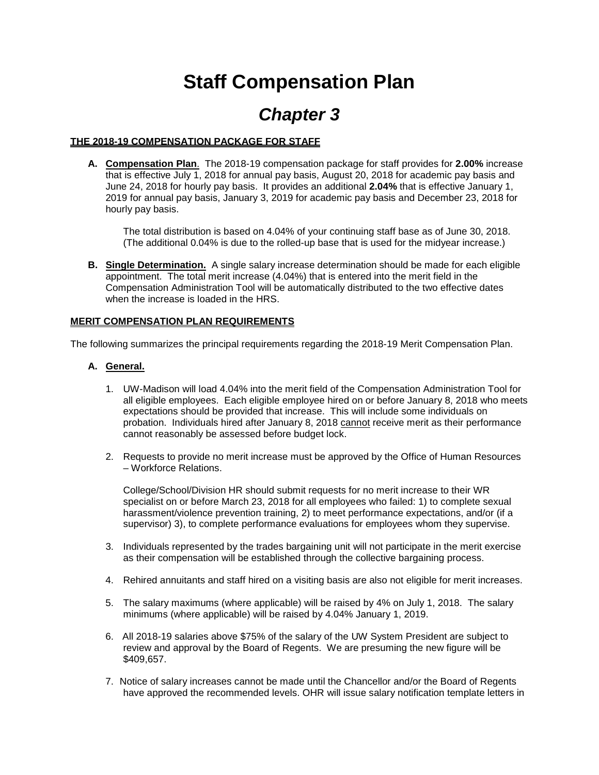# **Staff Compensation Plan**

# *Chapter 3*

## **THE 2018-19 COMPENSATION PACKAGE FOR STAFF**

**A. Compensation Plan**. The 2018-19 compensation package for staff provides for **2.00%** increase that is effective July 1, 2018 for annual pay basis, August 20, 2018 for academic pay basis and June 24, 2018 for hourly pay basis. It provides an additional **2.04%** that is effective January 1, 2019 for annual pay basis, January 3, 2019 for academic pay basis and December 23, 2018 for hourly pay basis.

The total distribution is based on 4.04% of your continuing staff base as of June 30, 2018. (The additional 0.04% is due to the rolled-up base that is used for the midyear increase.)

**B. Single Determination.** A single salary increase determination should be made for each eligible appointment. The total merit increase (4.04%) that is entered into the merit field in the Compensation Administration Tool will be automatically distributed to the two effective dates when the increase is loaded in the HRS.

#### **MERIT COMPENSATION PLAN REQUIREMENTS**

The following summarizes the principal requirements regarding the 2018-19 Merit Compensation Plan.

## **A. General.**

- 1. UW-Madison will load 4.04% into the merit field of the Compensation Administration Tool for all eligible employees. Each eligible employee hired on or before January 8, 2018 who meets expectations should be provided that increase. This will include some individuals on probation. Individuals hired after January 8, 2018 cannot receive merit as their performance cannot reasonably be assessed before budget lock.
- 2. Requests to provide no merit increase must be approved by the Office of Human Resources – Workforce Relations.

College/School/Division HR should submit requests for no merit increase to their WR specialist on or before March 23, 2018 for all employees who failed: 1) to complete sexual harassment/violence prevention training, 2) to meet performance expectations, and/or (if a supervisor) 3), to complete performance evaluations for employees whom they supervise.

- 3. Individuals represented by the trades bargaining unit will not participate in the merit exercise as their compensation will be established through the collective bargaining process.
- 4. Rehired annuitants and staff hired on a visiting basis are also not eligible for merit increases.
- 5. The salary maximums (where applicable) will be raised by 4% on July 1, 2018. The salary minimums (where applicable) will be raised by 4.04% January 1, 2019.
- 6. All 2018-19 salaries above \$75% of the salary of the UW System President are subject to review and approval by the Board of Regents. We are presuming the new figure will be \$409,657.
- 7. Notice of salary increases cannot be made until the Chancellor and/or the Board of Regents have approved the recommended levels. OHR will issue salary notification template letters in